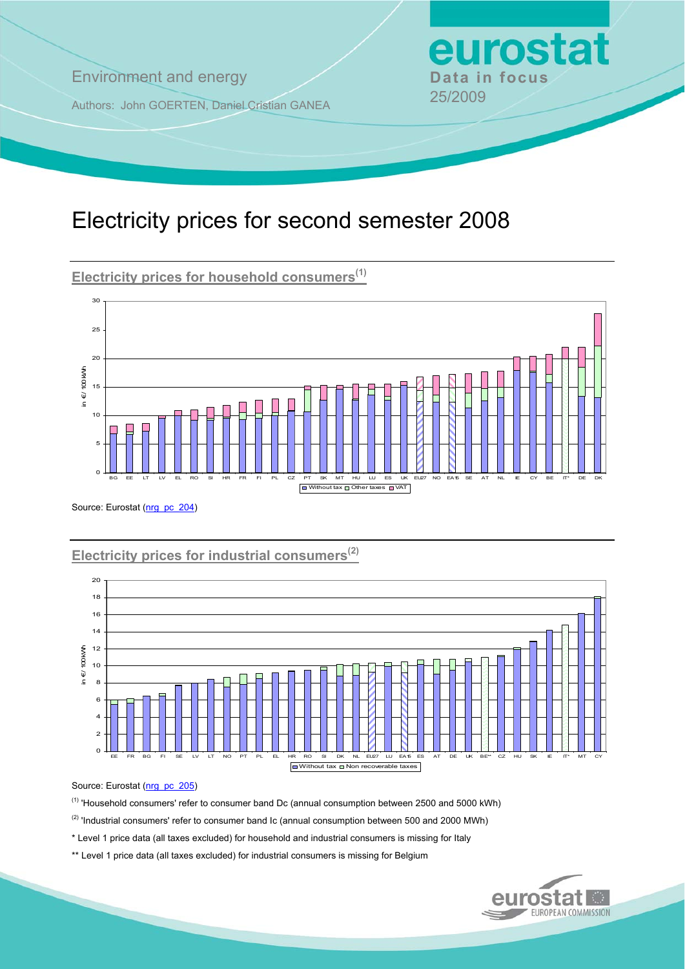**Environment and energy Bata in focus** 

Authors: John GOERTEN, Daniel Cristian GANEA 25/2009

# Electricity prices for second semester 2008



**Electricity prices for household consumers(1)**

Source: Eurostat ([nrg\\_pc\\_204](http://nui.epp.eurostat.ec.europa.eu/nui/show.do?dataset=nrg_pc_204&lang=en))

# **Electricity prices for industrial consumers(2)**



Source: Eurostat ([nrg\\_pc\\_205](http://nui.epp.eurostat.ec.europa.eu/nui/show.do?dataset=nrg_pc_205&lang=en))

(1) 'Household consumers' refer to consumer band Dc (annual consumption between 2500 and 5000 kWh)

<sup>(2)</sup> 'Industrial consumers' refer to consumer band Ic (annual consumption between 500 and 2000 MWh)

\* Level 1 price data (all taxes excluded) for household and industrial consumers is missing for Italy

\*\* Level 1 price data (all taxes excluded) for industrial consumers is missing for Belgium



eurostat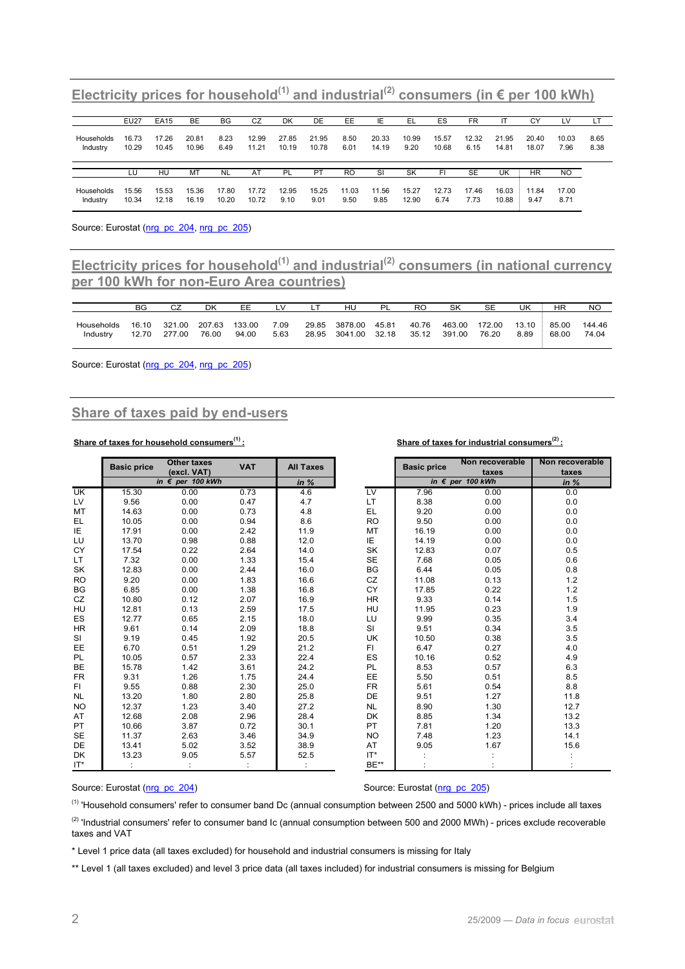Electricity prices for household<sup>(1)</sup> and industrial<sup>(2)</sup> consumers (in  $\epsilon$  per 100 kWh)

|                        | <b>EU27</b>    | <b>EA15</b>    | BE             | BG           | CZ             | DK             | DE             | EE             | ΙE             | - EL          | ES             | FR            |                | СY             | LV            |              |
|------------------------|----------------|----------------|----------------|--------------|----------------|----------------|----------------|----------------|----------------|---------------|----------------|---------------|----------------|----------------|---------------|--------------|
| Households<br>Industry | 16.73<br>10.29 | 17.26<br>10.45 | 20.81<br>10.96 | 8.23<br>6.49 | 12.99<br>11.21 | 27.85<br>10.19 | 21.95<br>10.78 | 8.50<br>6.01   | 20.33<br>14.19 | 10.99<br>9.20 | 15.57<br>10.68 | 12.32<br>6.15 | 21.95<br>14.81 | 20.40<br>18.07 | 10.03<br>7.96 | 8.65<br>8.38 |
|                        |                |                |                |              |                |                |                |                |                |               |                |               |                |                |               |              |
|                        | LU             | HU             | МT             | NL           | AT             | PL.            | <b>PT</b>      | R <sub>O</sub> | SI             | SK            |                | <b>SE</b>     | UK             | <b>HR</b>      | <b>NO</b>     |              |

Source: Eurostat ([nrg\\_pc\\_204](http://nui.epp.eurostat.ec.europa.eu/nui/show.do?dataset=nrg_pc_204&lang=en), [nrg\\_pc\\_205\)](http://nui.epp.eurostat.ec.europa.eu/nui/show.do?dataset=nrg_pc_205&lang=en)

Electricity prices for household<sup>(1)</sup> and industrial<sup>(2)</sup> consumers (in national currency **per 100 kWh for non-Euro Area countries)**

|                        | ΒG             |                  | DK              | ЕE              |              |                | HL                 | PI             | RO             | SK               | SE              | UK            | ΗR             | NO              |
|------------------------|----------------|------------------|-----------------|-----------------|--------------|----------------|--------------------|----------------|----------------|------------------|-----------------|---------------|----------------|-----------------|
|                        |                |                  |                 |                 |              |                |                    |                |                |                  |                 |               |                |                 |
| Households<br>Industry | 16.10<br>12.70 | 321.00<br>277.00 | 207.63<br>76.00 | 133.00<br>94.00 | 7.09<br>5.63 | 29.85<br>28.95 | 3878.00<br>3041.00 | 45.81<br>32.18 | 40.76<br>35.12 | 463.00<br>391.00 | 172.00<br>76.20 | 13.10<br>8.89 | 85.00<br>68.00 | 144.46<br>74.04 |

Source: Eurostat ([nrg\\_pc\\_204](http://nui.epp.eurostat.ec.europa.eu/nui/show.do?dataset=nrg_pc_204&lang=en), [nrg\\_pc\\_205\)](http://nui.epp.eurostat.ec.europa.eu/nui/show.do?dataset=nrg_pc_205&lang=en)

#### **Share of taxes paid by end-users**

|           | <b>Basic price</b> | <b>Other taxes</b>        | <b>VAT</b> | <b>All Taxes</b> |           | <b>Basic price</b> | Non recoverable           | Non recov |
|-----------|--------------------|---------------------------|------------|------------------|-----------|--------------------|---------------------------|-----------|
|           |                    | (excl. VAT)               |            |                  |           |                    | taxes                     | taxe:     |
|           |                    | in $\epsilon$ per 100 kWh |            | in %             |           |                    | in $\epsilon$ per 100 kWh | in $%$    |
| UK        | 15.30              | 0.00                      | 0.73       | 4.6              | τv        | 7.96               | 0.00                      | 0.0       |
| LV        | 9.56               | 0.00                      | 0.47       | 4.7              | LT.       | 8.38               | 0.00                      | 0.0       |
| MT        | 14.63              | 0.00                      | 0.73       | 4.8              | <b>EL</b> | 9.20               | 0.00                      | 0.0       |
| EL        | 10.05              | 0.00                      | 0.94       | 8.6              | <b>RO</b> | 9.50               | 0.00                      | 0.0       |
| IE        | 17.91              | 0.00                      | 2.42       | 11.9             | MT        | 16.19              | 0.00                      | 0.0       |
| LU        | 13.70              | 0.98                      | 0.88       | 12.0             | IE        | 14.19              | 0.00                      | 0.0       |
| <b>CY</b> | 17.54              | 0.22                      | 2.64       | 14.0             | SK        | 12.83              | 0.07                      | $0.5\,$   |
| LT.       | 7.32               | 0.00                      | 1.33       | 15.4             | <b>SE</b> | 7.68               | 0.05                      | 0.6       |
| SK        | 12.83              | 0.00                      | 2.44       | 16.0             | BG        | 6.44               | 0.05                      | 0.8       |
| <b>RO</b> | 9.20               | 0.00                      | 1.83       | 16.6             | CZ        | 11.08              | 0.13                      | $1.2$     |
| BG        | 6.85               | 0.00                      | 1.38       | 16.8             | CY        | 17.85              | 0.22                      | $1.2$     |
| CZ        | 10.80              | 0.12                      | 2.07       | 16.9             | <b>HR</b> | 9.33               | 0.14                      | 1.5       |
| <b>HU</b> | 12.81              | 0.13                      | 2.59       | 17.5             | <b>HU</b> | 11.95              | 0.23                      | 1.9       |
| ES        | 12.77              | 0.65                      | 2.15       | 18.0             | LU        | 9.99               | 0.35                      | 3.4       |
| <b>HR</b> | 9.61               | 0.14                      | 2.09       | 18.8             | SI        | 9.51               | 0.34                      | 3.5       |
| <b>SI</b> | 9.19               | 0.45                      | 1.92       | 20.5             | <b>UK</b> | 10.50              | 0.38                      | 3.5       |
| EE        | 6.70               | 0.51                      | 1.29       | 21.2             | FI        | 6.47               | 0.27                      | 4.0       |
| <b>PL</b> | 10.05              | 0.57                      | 2.33       | 22.4             | ES        | 10.16              | 0.52                      | 4.9       |
| <b>BE</b> | 15.78              | 1.42                      | 3.61       | 24.2             | PL        | 8.53               | 0.57                      | 6.3       |
| <b>FR</b> | 9.31               | 1.26                      | 1.75       | 24.4             | EE        | 5.50               | 0.51                      | 8.5       |
| FL.       | 9.55               | 0.88                      | 2.30       | 25.0             | <b>FR</b> | 5.61               | 0.54                      | 8.8       |
| <b>NL</b> | 13.20              | 1.80                      | 2.80       | 25.8             | DE        | 9.51               | 1.27                      | 11.8      |
| <b>NO</b> | 12.37              | 1.23                      | 3.40       | 27.2             | <b>NL</b> | 8.90               | 1.30                      | 12.7      |
| AT        | 12.68              | 2.08                      | 2.96       | 28.4             | <b>DK</b> | 8.85               | 1.34                      | 13.2      |
| <b>PT</b> | 10.66              | 3.87                      | 0.72       | 30.1             | <b>PT</b> | 7.81               | 1.20                      | 13.3      |
| <b>SE</b> | 11.37              | 2.63                      | 3.46       | 34.9             | <b>NO</b> | 7.48               | 1.23                      | 14.1      |
| DE        | 13.41              | 5.02                      | 3.52       | 38.9             | AT        | 9.05               | 1.67                      | 15.6      |
| DK        | 13.23              | 9.05                      | 5.57       | 52.5             | IT*       |                    |                           |           |
| $1 - 2$   |                    |                           |            |                  | $P - 44$  |                    |                           |           |

Share of taxes for household consumers<sup>(1)</sup> : **Share of taxes for industrial consumers**<sup>(2)</sup> :

|     | <b>Basic price</b> | <b>Other taxes</b>        | <b>VAT</b> | <b>All Taxes</b> |           | <b>Basic price</b> | Non recoverable           | Non recoverable |
|-----|--------------------|---------------------------|------------|------------------|-----------|--------------------|---------------------------|-----------------|
|     |                    | (excl. VAT)               |            |                  |           |                    | taxes                     | taxes           |
|     |                    | in $\epsilon$ per 100 kWh |            | in %             |           |                    | in $\epsilon$ per 100 kWh | in $%$          |
| UK  | 15.30              | 0.00                      | 0.73       | 4.6              | τv        | 7.96               | 0.00                      | 0.0             |
| LV  | 9.56               | 0.00                      | 0.47       | 4.7              | LT        | 8.38               | 0.00                      | 0.0             |
| МT  | 14.63              | 0.00                      | 0.73       | 4.8              | EL        | 9.20               | 0.00                      | 0.0             |
| EL  | 10.05              | 0.00                      | 0.94       | 8.6              | <b>RO</b> | 9.50               | 0.00                      | 0.0             |
| ΙE  | 17.91              | 0.00                      | 2.42       | 11.9             | MT        | 16.19              | 0.00                      | 0.0             |
| LU  | 13.70              | 0.98                      | 0.88       | 12.0             | IE        | 14.19              | 0.00                      | 0.0             |
| CY  | 17.54              | 0.22                      | 2.64       | 14.0             | SK        | 12.83              | 0.07                      | 0.5             |
| LT  | 7.32               | 0.00                      | 1.33       | 15.4             | <b>SE</b> | 7.68               | 0.05                      | 0.6             |
| SK  | 12.83              | 0.00                      | 2.44       | 16.0             | BG        | 6.44               | 0.05                      | 0.8             |
| RO  | 9.20               | 0.00                      | 1.83       | 16.6             | CZ        | 11.08              | 0.13                      | 1.2             |
| ВG  | 6.85               | 0.00                      | 1.38       | 16.8             | CY        | 17.85              | 0.22                      | 1.2             |
| CZ  | 10.80              | 0.12                      | 2.07       | 16.9             | <b>HR</b> | 9.33               | 0.14                      | 1.5             |
| HU  | 12.81              | 0.13                      | 2.59       | 17.5             | HU        | 11.95              | 0.23                      | 1.9             |
| ES  | 12.77              | 0.65                      | 2.15       | 18.0             | LU        | 9.99               | 0.35                      | 3.4             |
| ΗR  | 9.61               | 0.14                      | 2.09       | 18.8             | SI        | 9.51               | 0.34                      | 3.5             |
| SI  | 9.19               | 0.45                      | 1.92       | 20.5             | UK        | 10.50              | 0.38                      | 3.5             |
| EЕ  | 6.70               | 0.51                      | 1.29       | 21.2             | FI.       | 6.47               | 0.27                      | 4.0             |
| PL  | 10.05              | 0.57                      | 2.33       | 22.4             | ES        | 10.16              | 0.52                      | 4.9             |
| BЕ  | 15.78              | 1.42                      | 3.61       | 24.2             | PL        | 8.53               | 0.57                      | 6.3             |
| FR  | 9.31               | 1.26                      | 1.75       | 24.4             | EE        | 5.50               | 0.51                      | 8.5             |
| FI  | 9.55               | 0.88                      | 2.30       | 25.0             | <b>FR</b> | 5.61               | 0.54                      | 8.8             |
| NL  | 13.20              | 1.80                      | 2.80       | 25.8             | DE        | 9.51               | 1.27                      | 11.8            |
| NΟ  | 12.37              | 1.23                      | 3.40       | 27.2             | <b>NL</b> | 8.90               | 1.30                      | 12.7            |
| AT  | 12.68              | 2.08                      | 2.96       | 28.4             | DK        | 8.85               | 1.34                      | 13.2            |
| PT  | 10.66              | 3.87                      | 0.72       | 30.1             | <b>PT</b> | 7.81               | 1.20                      | 13.3            |
| SE  | 11.37              | 2.63                      | 3.46       | 34.9             | <b>NO</b> | 7.48               | 1.23                      | 14.1            |
| DE  | 13.41              | 5.02                      | 3.52       | 38.9             | AT        | 9.05               | 1.67                      | 15.6            |
| DK  | 13.23              | 9.05                      | 5.57       | 52.5             | IT*       |                    |                           |                 |
| IT* |                    |                           |            |                  | BE**      |                    |                           |                 |

#### Source: Eurostat ([nrg\\_pc\\_204](http://nui.epp.eurostat.ec.europa.eu/nui/show.do?dataset=nrg_pc_204&lang=en)) *Source: Eurostat ([nrg\\_pc\\_205\)](http://nui.epp.eurostat.ec.europa.eu/nui/show.do?dataset=nrg_pc_205&lang=en)* **Source: Eurostat (nrg\_pc\_205)**

 $<sup>(1)</sup>$  'Household consumers' refer to consumer band Dc (annual consumption between 2500 and 5000 kWh) - prices include all taxes</sup>

<sup>(2)</sup> 'Industrial consumers' refer to consumer band Ic (annual consumption between 500 and 2000 MWh) - prices exclude recoverable taxes and VAT

\* Level 1 price data (all taxes excluded) for household and industrial consumers is missing for Italy

\*\* Level 1 (all taxes excluded) and level 3 price data (all taxes included) for industrial consumers is missing for Belgium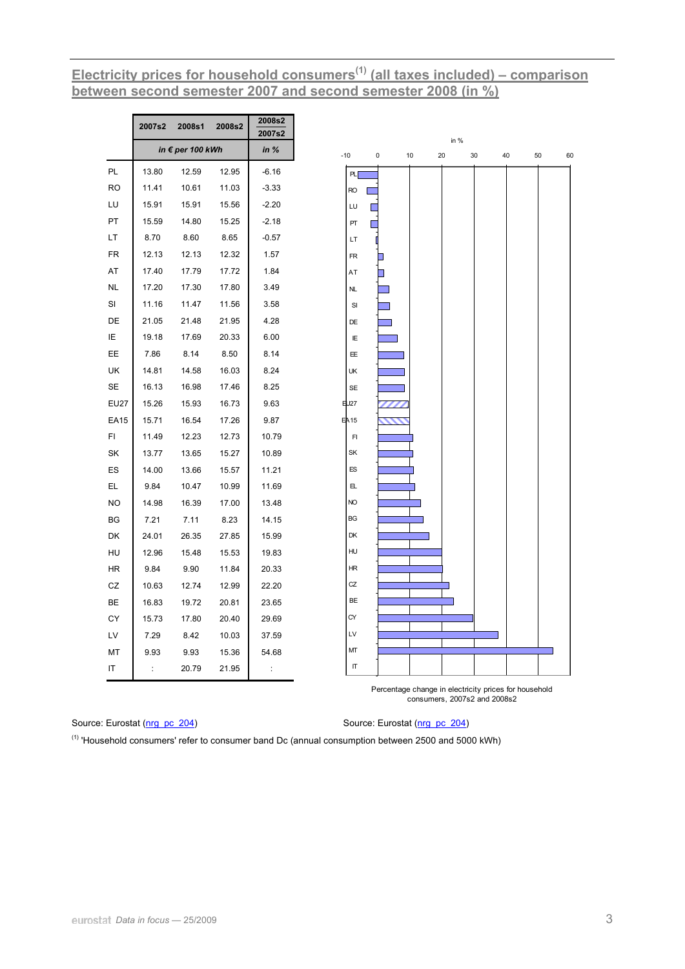## **Electricity prices for household consumers<sup>(1)</sup> (all taxes included) – comparison between second semester 2007 and second semester 2008 (in %)**

|             | 2007s2           |       | 2008s1 2008s2 | 2008s2<br>2007s2 |
|-------------|------------------|-------|---------------|------------------|
|             | in € per 100 kWh |       | in $%$        |                  |
| PL          | 13.80            | 12.59 | 12.95         | $-6.16$          |
| <b>RO</b>   | 11.41            | 10.61 | 11.03         | $-3.33$          |
| LU          | 15.91            | 15.91 | 15.56         | $-2.20$          |
| PT          | 15.59            | 14.80 | 15.25         | $-2.18$          |
| LТ          | 8.70             | 8.60  | 8.65          | $-0.57$          |
| FR          | 12.13            | 12.13 | 12.32         | 1.57             |
| AT          | 17.40            | 17.79 | 17.72         | 1.84             |
| NL          | 17.20            | 17.30 | 17.80         | 3.49             |
| SI          | 11.16            | 11.47 | 11.56         | 3.58             |
| DE          | 21.05            | 21.48 | 21.95         | 4.28             |
| IΕ          | 19.18            | 17.69 | 20.33         | 6.00             |
| EЕ          | 7.86             | 8.14  | 8.50          | 8.14             |
| UK          | 14.81            | 14.58 | 16.03         | 8.24             |
| SE          | 16.13            | 16.98 | 17.46         | 8.25             |
| <b>EU27</b> | 15.26            | 15.93 | 16.73         | 9.63             |
| EA15        | 15.71            | 16.54 | 17.26         | 9.87             |
| FI          | 11.49            | 12.23 | 12.73         | 10.79            |
| SK          | 13.77            | 13.65 | 15.27         | 10.89            |
| ES          | 14.00            | 13.66 | 15.57         | 11.21            |
| EL          | 9.84             | 10.47 | 10.99         | 11.69            |
| <b>NO</b>   | 14.98            | 16.39 | 17.00         | 13.48            |
| ΒG          | 7.21             | 7.11  | 8.23          | 14.15            |
| DK          | 24.01            | 26.35 | 27.85         | 15.99            |
| HU          | 12.96            | 15.48 | 15.53         | 19.83            |
| ΗR          | 9.84             | 9.90  | 11.84         | 20.33            |
| CZ          | 10.63            | 12.74 | 12.99         | 22.20            |
| ВE          | 16.83            | 19.72 | 20.81         | 23.65            |
| CY          | 15.73            | 17.80 | 20.40         | 29.69            |
| LV          | 7.29             | 8.42  | 10.03         | 37.59            |
| МT          | 9.93             | 9.93  | 15.36         | 54.68            |
| ΙT          | ł.               | 20.79 | 21.95         | $\vdots$         |



Percentage change in electricity prices for household consumers, 2007s2 and 2008s2

Source: Eurostat ([nrg\\_pc\\_204](http://nui.epp.eurostat.ec.europa.eu/nui/show.do?dataset=nrg_pc_204&lang=en)) *Source: Eurostat (nrg\_pc\_204) Source: Eurostat (nrg\_pc\_204)* 

(1) 'Household consumers' refer to consumer band Dc (annual consumption between 2500 and 5000 kWh)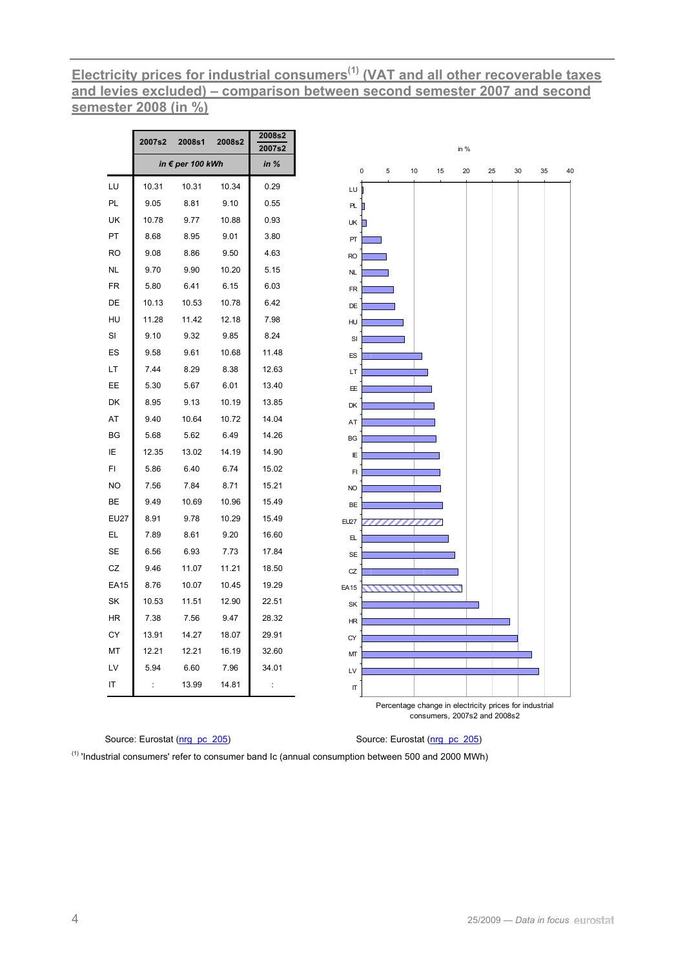## **Electricity prices for industrial consumers<sup>(1)</sup> (VAT and all other recoverable taxes) and levies excluded) – comparison between second semester 2007 and second semester 2008 (in %)**

|             | 2007s2 | 2008s1           | 2008s2 | 2008s2<br>2007s2 | in %                                                                                   |
|-------------|--------|------------------|--------|------------------|----------------------------------------------------------------------------------------|
|             |        | in € per 100 kWh |        | in $%$           | 0<br>25<br>30<br>35<br>5<br>10<br>15<br>20<br>40                                       |
| LU          | 10.31  | 10.31            | 10.34  | 0.29             | LU<br>n                                                                                |
| PL          | 9.05   | 8.81             | 9.10   | 0.55             | PL.                                                                                    |
| UK          | 10.78  | 9.77             | 10.88  | 0.93             | UK                                                                                     |
| PT          | 8.68   | 8.95             | 9.01   | 3.80             | PT                                                                                     |
| RO          | 9.08   | 8.86             | 9.50   | 4.63             | <b>RO</b>                                                                              |
| NL          | 9.70   | 9.90             | 10.20  | 5.15             | NL                                                                                     |
| FR          | 5.80   | 6.41             | 6.15   | 6.03             | ${\sf FR}$                                                                             |
| DE          | 10.13  | 10.53            | 10.78  | 6.42             | DE                                                                                     |
| HU          | 11.28  | 11.42            | 12.18  | 7.98             | HU                                                                                     |
| SI          | 9.10   | 9.32             | 9.85   | 8.24             | SI                                                                                     |
| ES          | 9.58   | 9.61             | 10.68  | 11.48            | ES                                                                                     |
| LT          | 7.44   | 8.29             | 8.38   | 12.63            | LT                                                                                     |
| EE          | 5.30   | 5.67             | 6.01   | 13.40            | EE                                                                                     |
| DK          | 8.95   | 9.13             | 10.19  | 13.85            | DK                                                                                     |
| AT          | 9.40   | 10.64            | 10.72  | 14.04            | AT                                                                                     |
| BG          | 5.68   | 5.62             | 6.49   | 14.26            | BG                                                                                     |
| ΙE          | 12.35  | 13.02            | 14.19  | 14.90            | IE                                                                                     |
| FI.         | 5.86   | 6.40             | 6.74   | 15.02            | F1                                                                                     |
| <b>NO</b>   | 7.56   | 7.84             | 8.71   | 15.21            | <b>NO</b>                                                                              |
| <b>BE</b>   | 9.49   | 10.69            | 10.96  | 15.49            | BE                                                                                     |
| <b>EU27</b> | 8.91   | 9.78             | 10.29  | 15.49            | <b>EU27</b>                                                                            |
| EL.         | 7.89   | 8.61             | 9.20   | 16.60            | Е                                                                                      |
| SE          | 6.56   | 6.93             | 7.73   | 17.84            | <b>SE</b>                                                                              |
| CZ          | 9.46   | 11.07            | 11.21  | 18.50            | CZ                                                                                     |
| EA15        | 8.76   | 10.07            | 10.45  | 19.29            | EA15                                                                                   |
| SK          | 10.53  | 11.51            | 12.90  | 22.51            | SK                                                                                     |
| HR          | 7.38   | 7.56             | 9.47   | 28.32            | HR                                                                                     |
| СY          | 13.91  | 14.27            | 18.07  | 29.91            | CY                                                                                     |
| МT          | 12.21  | 12.21            | 16.19  | 32.60            | MT                                                                                     |
| LV          | 5.94   | 6.60             | 7.96   | 34.01            | LV                                                                                     |
| IT          | ÷      | 13.99            | 14.81  | ÷                | $\sqcap$                                                                               |
|             |        |                  |        |                  | Percentage change in electricity prices for industrial<br>consumers, 2007s2 and 2008s2 |

Source: Eurostat (nrg<sub>pc</sub> 205) **Source: Eurostat (nrg**pc 205)

 $<sup>(1)</sup>$  'Industrial consumers' refer to consumer band Ic (annual consumption between 500 and 2000 MWh)</sup>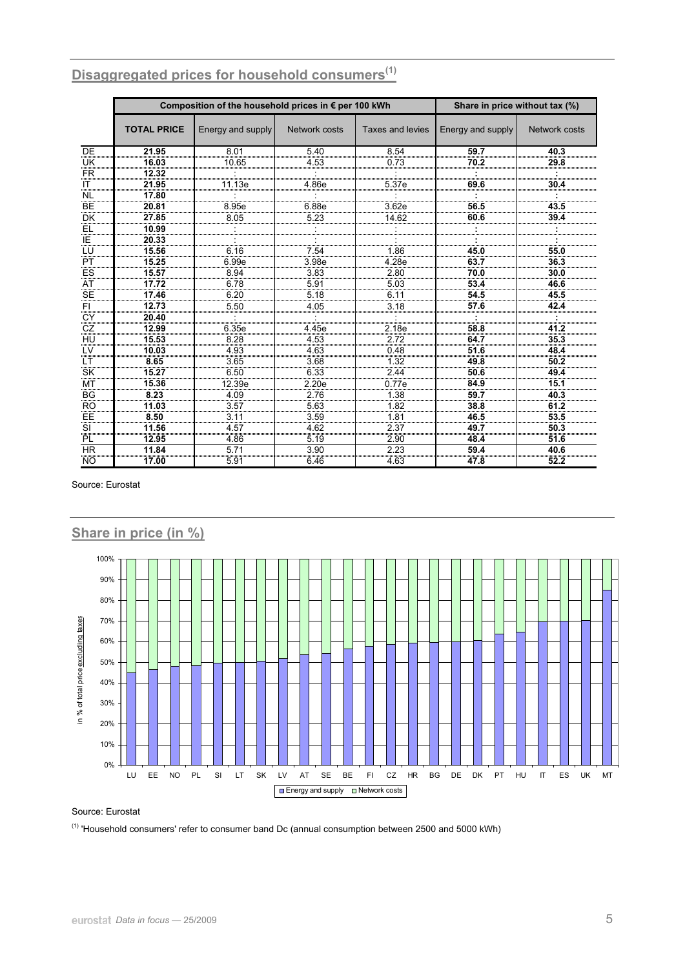|                            |                            | Composition of the household prices in € per 100 kWh | Share in price without tax (%) |                      |                         |               |
|----------------------------|----------------------------|------------------------------------------------------|--------------------------------|----------------------|-------------------------|---------------|
|                            | <b>TOTAL PRICE</b>         | Energy and supply                                    | Network costs                  | Taxes and levies     | Energy and supply       | Network costs |
| DE                         | 21.95                      | 8.01                                                 | 5.40                           | 8.54                 | 59.7                    | 40.3          |
| . <del></del><br><u>UK</u> | <br>16.03<br>              | 10.65                                                | 4.53                           | 0.73                 | <br>70.2                | <br>29.8      |
| ER                         | 12.32<br>                  |                                                      |                                |                      |                         |               |
| IT                         | 21.95<br>                  | 11.13e                                               | 4.86e<br>                      | 5.37e                | 69.6<br>                | 30.4          |
| <del></del>                | 17.80                      |                                                      |                                |                      |                         |               |
| <b>BE</b><br>. <del></del> | $\frac{11100}{20.81}$<br>  | 8.95e                                                | 6.88e                          | 3.62e                | 56.5<br>                | 43.5<br>      |
| DK                         | 27.85                      | 8.05                                                 | $\frac{3.888}{5.23}$           | 14.62                | 60.6                    | 39.4          |
| <u>ЕГ</u>                  | 10.99                      |                                                      |                                |                      |                         |               |
| ΙE<br>                     | 20.33<br>                  |                                                      |                                |                      |                         |               |
| ΊÜ<br><del></del>          | 15.56<br>                  | 6.16<br>                                             | $\frac{7.54}{3.98e}$           | 1.86<br>             | 45.0<br>                | 55.0<br>      |
| PT<br>nimain.              | 15.25                      | 6.99e                                                |                                | 4.28e                | 63.7<br>                | 36.3          |
| ES<br><del></del>          | 15.57<br>,,,,,,,,,,,,,,,,, | 8.94<br>                                             | $\frac{3.83}{3.83}$<br>        | 2.80<br>             | 70.0<br>                | 30.0<br>      |
| $A$ T                      | 17.72                      | 6.78                                                 | 5.91                           | 5.03                 | 53.4                    | 46.6          |
| $\underline{\mathsf{SE}}$  | 17.46<br>                  | 6.20<br>                                             | 5.18                           | 6.11                 | $\frac{54.5}{57.6}$     | 45.5<br>      |
| ΈÏ<br>                     | 12.73<br>                  | 5.50                                                 | $\frac{3.18}{4.05}$            | $\frac{3.16}{3.18}$  |                         | 42.4          |
| CY                         | 20.40<br>                  |                                                      |                                |                      |                         |               |
| CZ                         | 12.99<br>                  | 6.35e                                                | 4.45e                          | 2.18e                | 58.8<br>                | 41.2<br>      |
| HU<br>HU                   | 15.53<br>                  | 8.28<br>.                                            | 4.53<br>                       | 2.72<br>             | 64.7<br>                | 35.3          |
| <u>LV.</u>                 | 10.03                      | 4.93                                                 | 4.63<br>                       | 0.48<br>             | 51.6                    | 48.4          |
| <b>LT</b><br>. <del></del> | 8.65<br>                   | 3.65<br>                                             | 3.68                           | $\frac{1.32}{2.44}$  | 49.8<br>                | 50.2          |
| <b>SK</b><br>              | 15.27<br>                  | 6.50<br>                                             | $\frac{3.88}{6.33}$<br>        |                      | 50.6<br>                | 49.4<br>      |
| МT<br>                     | 15.36<br>                  | 12.39e<br>                                           | 2.20e<br>.                     | 0.77e<br>            | 84.9<br>                | 15.1          |
| $\underline{BG}$           | 8.23<br>------------       | 4.09                                                 | 2.76<br><del></del>            | 1.38                 | 59.7<br>                | 40.3          |
| RO<br>EE                   | 11.03<br>                  | 3.57                                                 | 5.63                           | 1.82<br>             | 38.8<br>                | 61.2          |
| . <del></del>              | 8.50                       | $\frac{3.11}{4.57}$                                  | $\frac{3.59}{3.59}$            | 1.81                 | 46.5                    | 53.5<br>      |
| SI                         | $\frac{11.56}{11.56}$<br>  |                                                      |                                | $\frac{1}{2.37}$<br> | $\frac{1000}{49.7}$<br> | 50.3<br>      |
| PL                         | 12.95                      | 4.86                                                 | 5.19                           | 2.90                 | 48.4                    | 51.6          |
| <b>HR</b>                  | 11.84                      | 5.71                                                 | 3.90                           | 2.23                 | 59.4                    | 40.6          |
| NO                         | 17.00                      | 5.91                                                 | 6.46                           | 4.63                 | 47.8                    | 52.2          |

# Disaggregated prices for household consumers<sup>(1)</sup>

Source: Eurostat



#### Share in price (in %)

Source: Eurostat

<sup>(1)</sup> 'Household consumers' refer to consumer band Dc (annual consumption between 2500 and 5000 kWh)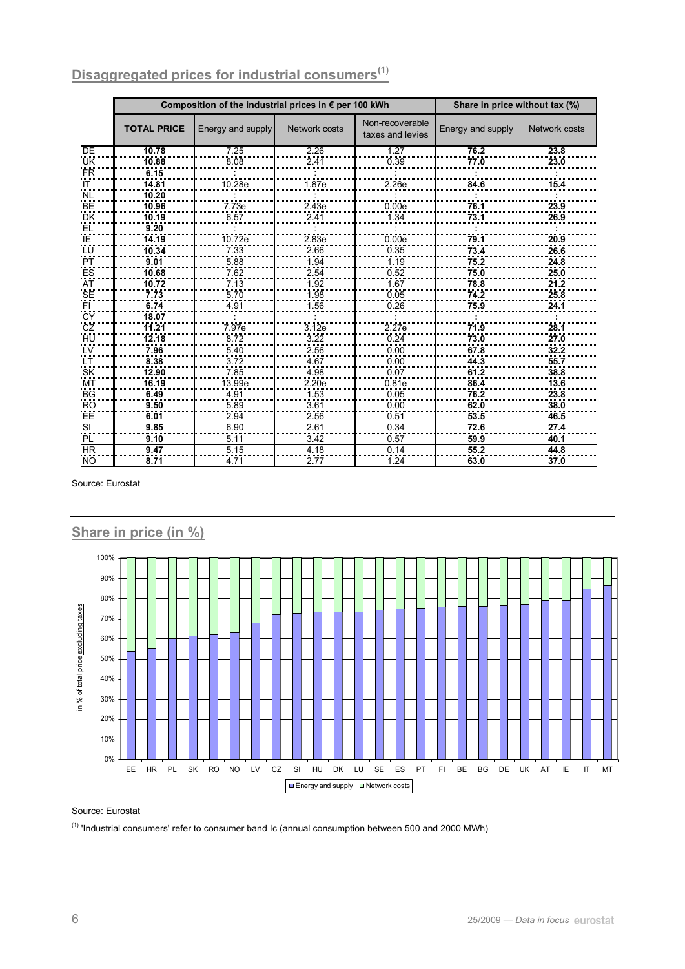|                                                                          |                                     | Composition of the industrial prices in € per 100 kWh | Share in price without tax (%) |                   |               |                           |
|--------------------------------------------------------------------------|-------------------------------------|-------------------------------------------------------|--------------------------------|-------------------|---------------|---------------------------|
|                                                                          | <b>TOTAL PRICE</b>                  | Energy and supply                                     | Network costs                  | Energy and supply | Network costs |                           |
| DE                                                                       | 10.78                               | 7.25<br>                                              | 2.26                           | 1.27<br>          | 76.2          | 23.8                      |
| $\underline{\overset{\text{def}}{\text{U}}\overset{\text{F}}{\text{K}}}$ | 10.88<br>                           | 8.08<br>.                                             | 2.41                           | 0.39<br>.         | 77.0          | 23.0                      |
| <u>FR</u>                                                                | 6.15                                |                                                       |                                |                   |               |                           |
| ΙT<br>                                                                   | 14.81                               | 10.28e                                                | 1.87e<br>                      | 2.26e<br>         | 84.6          | 15.4                      |
| <b>NL</b><br>                                                            | 10.20                               |                                                       |                                |                   |               |                           |
| BE<br>. <del></del> .                                                    | 10.96<br>                           | 7.73e<br>                                             | 2.43e                          | 0.00e<br>         | 76.1<br>      | 23.9<br>                  |
| DK<br>                                                                   | 10.19<br>                           | 6.57                                                  | 2.41                           | 1.34              | 73.1          | 26.9                      |
| EL<br>                                                                   | 9.20<br>. <del>.</del> <del>.</del> |                                                       |                                |                   |               |                           |
| IE<br>LU                                                                 | 14.19                               | $\frac{10.72e}{7.33}$                                 | $\frac{2.83e}{2.66}$           | 0.00e             | 79.1          | 20.9<br>                  |
|                                                                          | 10.34                               |                                                       |                                | 0.35<br>          | 73.4<br>      | 26.6                      |
| PT                                                                       | 9.01                                | 5.88                                                  | 1.94                           | 1.19              | 75.2          | 24.8                      |
| ES                                                                       | 10.68                               | 7.62                                                  | 2.54                           | 0.52              | 75.0          | 25.0                      |
| AT                                                                       | 10.72<br>                           | 7.13<br>                                              | 1.92<br>                       | 1.67<br>          | 78.8          | 21.2<br>,,,,,,,,,,,,,,,,, |
| <br>SE                                                                   | 7.73                                | 5.70                                                  | 1.98                           | 0.05              | 74.2          | 25.8                      |
| $\frac{1}{F}$                                                            | 6.74<br>.                           | 4.91                                                  | 1.56                           | 0.26              | 75.9          | 24.1                      |
| CY                                                                       | 18.07<br>.                          |                                                       | .                              |                   |               |                           |
| CZ                                                                       | 11.21                               | 7.97e                                                 | 3.12e                          | 2.27e             | 71.9          | 28.1                      |
| HU<br>                                                                   | 12.18<br>,,,,,,,,,,,,,,,,           | 8.72                                                  | 3.22<br>                       | 0.24<br>          | 73.0<br>      | 27.0<br>                  |
| LV<br>                                                                   | 7.96                                | 5.40<br>                                              | 2.56<br>                       | 0.00<br>          | 67.8          | 32.2<br>,,,,,,,,,,,,      |
| <b>LT</b>                                                                | 8.38                                | 3.72<br><del></del>                                   | 4 67<br>                       | 0.00<br>          | 44.3<br>      | 55.7                      |
| $\bar{\bar{\mathsf{s}}}\bar{\bar{\mathsf{k}}}$<br>                       | 12.90<br>                           | 7.85<br>,,,,,,,,,,,,,,,,,                             | 4.98                           | 0.07<br>          | 61.2          | 38.8<br>.                 |
| МT<br>                                                                   | 16.19<br>                           | 3.99e<br>                                             | 2.20e<br>                      | 0.81e<br>         | 86.4<br>      | 13.6                      |
| $rac{BG}{RO}$                                                            | 6.49                                | 4.91                                                  | 1.53                           | 0.05              | 76.2          | 23.8                      |
|                                                                          | 9.50                                | $\frac{1}{5.89}$                                      | $\frac{1.188}{3.61}$           | 0.00<br>          | 62.0          | 38.0                      |
| EE                                                                       | 6.01                                | 2.94                                                  | 2.56                           | 0.51              | 53.5          | 46.5                      |
| SI<br>. <del></del>                                                      | 9.85                                | 6.90                                                  | 2.61                           | 0.34              | 72.6          | 27.4                      |
| PL                                                                       | 9.10                                | 5.11                                                  | 3.42                           | 0.57              | 59.9          | 40.1                      |
| <b>HR</b>                                                                | 9.47                                | 5.15                                                  | 4.18                           | 0.14              | 55.2          | 44.8                      |
| <b>NO</b>                                                                | 8.71                                | 4.71                                                  | 2.77                           | 1.24              | 63.0          | 37.0                      |

# Disaggregated prices for industrial consumers<sup>(1)</sup>

Source: Eurostat



Share in price (in %)

Source: Eurostat

<sup>(1)</sup> 'Industrial consumers' refer to consumer band Ic (annual consumption between 500 and 2000 MWh)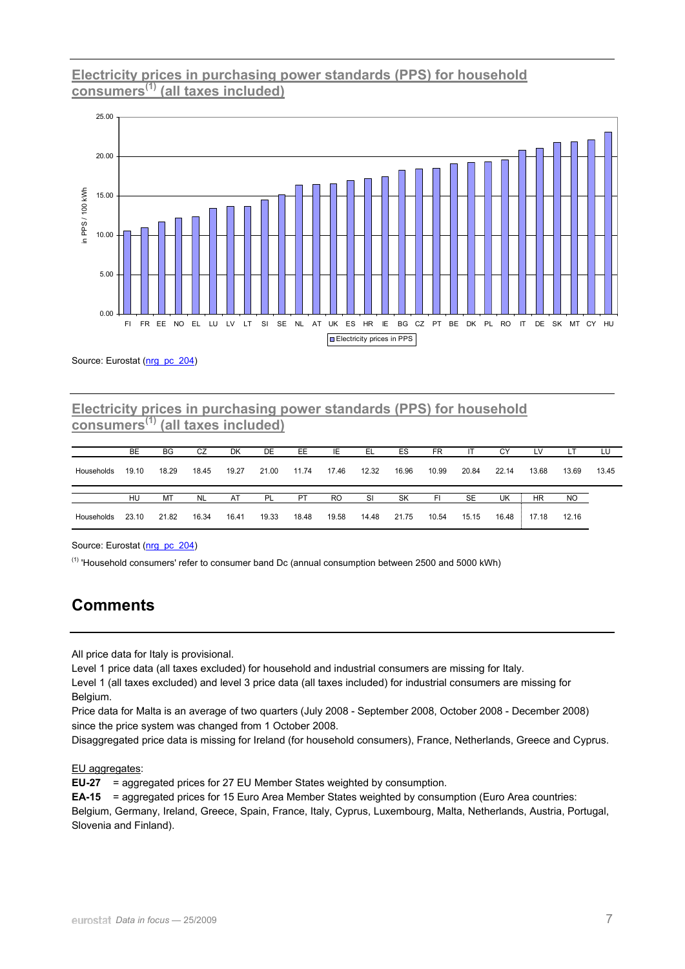#### **Electricity prices in purchasing power standards (PPS) for household consumers(1) (all taxes included)**



Source: Eurostat ([nrg\\_pc\\_204](http://nui.epp.eurostat.ec.europa.eu/nui/show.do?dataset=nrg_pc_204&lang=en))

#### **Electricity prices in purchasing power standards (PPS) for household consumers(1) (all taxes included)**

|            | BE    | BG    | CZ        | DK    | DE.   | EE    | IE             | EL    | ES    | <b>FR</b> | ΙT        | CY    | LV        |       | LU    |
|------------|-------|-------|-----------|-------|-------|-------|----------------|-------|-------|-----------|-----------|-------|-----------|-------|-------|
| Households | 19.10 | 18.29 | 18.45     | 19.27 | 21.00 | 11.74 | 17.46          | 12.32 | 16.96 | 10.99     | 20.84     | 22.14 | 13.68     | 13.69 | 13.45 |
|            |       |       |           |       |       |       |                |       |       |           |           |       |           |       |       |
|            | HU    | MT    | <b>NL</b> | AT    | PL    | PT    | R <sub>O</sub> | SI    | SK    | FI        | <b>SE</b> | UK    | <b>HR</b> | NO.   |       |

Source: Eurostat ([nrg\\_pc\\_204](http://nui.epp.eurostat.ec.europa.eu/nui/show.do?dataset=nrg_pc_204&lang=en))

(1) 'Household consumers' refer to consumer band Dc (annual consumption between 2500 and 5000 kWh)

# **Comments**

All price data for Italy is provisional.

Level 1 price data (all taxes excluded) for household and industrial consumers are missing for Italy.

Level 1 (all taxes excluded) and level 3 price data (all taxes included) for industrial consumers are missing for Belgium.

Price data for Malta is an average of two quarters (July 2008 - September 2008, October 2008 - December 2008) since the price system was changed from 1 October 2008.

Disaggregated price data is missing for Ireland (for household consumers), France, Netherlands, Greece and Cyprus.

EU aggregates:

**EU-27** = aggregated prices for 27 EU Member States weighted by consumption.

**EA-15** = aggregated prices for 15 Euro Area Member States weighted by consumption (Euro Area countries: Belgium, Germany, Ireland, Greece, Spain, France, Italy, Cyprus, Luxembourg, Malta, Netherlands, Austria, Portugal, Slovenia and Finland).